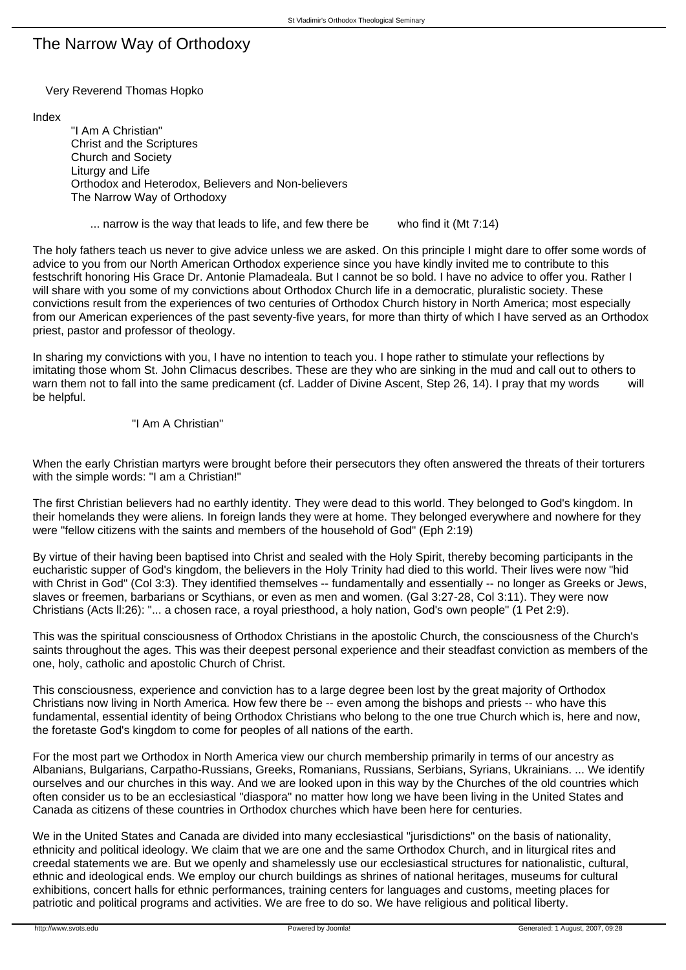# The Narrow Way of Orthodoxy

Very Reverend Thomas Hopko

Index

 "I Am A Christian" Christ and the Scriptures Church and Society Liturgy and Life Orthodox and Heterodox, Believers and Non-believers The Narrow Way of Orthodoxy

... narrow is the way that leads to life, and few there be who find it (Mt 7:14)

The holy fathers teach us never to give advice unless we are asked. On this principle I might dare to offer some words of advice to you from our North American Orthodox experience since you have kindly invited me to contribute to this festschrift honoring His Grace Dr. Antonie Plamadeala. But I cannot be so bold. I have no advice to offer you. Rather I will share with you some of my convictions about Orthodox Church life in a democratic, pluralistic society. These convictions result from the experiences of two centuries of Orthodox Church history in North America; most especially from our American experiences of the past seventy-five years, for more than thirty of which I have served as an Orthodox priest, pastor and professor of theology.

In sharing my convictions with you, I have no intention to teach you. I hope rather to stimulate your reflections by imitating those whom St. John Climacus describes. These are they who are sinking in the mud and call out to others to warn them not to fall into the same predicament (cf. Ladder of Divine Ascent, Step 26, 14). I pray that my words will be helpful.

## "I Am A Christian"

When the early Christian martyrs were brought before their persecutors they often answered the threats of their torturers with the simple words: "I am a Christian!"

The first Christian believers had no earthly identity. They were dead to this world. They belonged to God's kingdom. In their homelands they were aliens. In foreign lands they were at home. They belonged everywhere and nowhere for they were "fellow citizens with the saints and members of the household of God" (Eph 2:19)

By virtue of their having been baptised into Christ and sealed with the Holy Spirit, thereby becoming participants in the eucharistic supper of God's kingdom, the believers in the Holy Trinity had died to this world. Their lives were now "hid with Christ in God" (Col 3:3). They identified themselves -- fundamentally and essentially -- no longer as Greeks or Jews, slaves or freemen, barbarians or Scythians, or even as men and women. (Gal 3:27-28, Col 3:11). They were now Christians (Acts ll:26): "... a chosen race, a royal priesthood, a holy nation, God's own people" (1 Pet 2:9).

This was the spiritual consciousness of Orthodox Christians in the apostolic Church, the consciousness of the Church's saints throughout the ages. This was their deepest personal experience and their steadfast conviction as members of the one, holy, catholic and apostolic Church of Christ.

This consciousness, experience and conviction has to a large degree been lost by the great majority of Orthodox Christians now living in North America. How few there be -- even among the bishops and priests -- who have this fundamental, essential identity of being Orthodox Christians who belong to the one true Church which is, here and now, the foretaste God's kingdom to come for peoples of all nations of the earth.

For the most part we Orthodox in North America view our church membership primarily in terms of our ancestry as Albanians, Bulgarians, Carpatho-Russians, Greeks, Romanians, Russians, Serbians, Syrians, Ukrainians. ... We identify ourselves and our churches in this way. And we are looked upon in this way by the Churches of the old countries which often consider us to be an ecclesiastical "diaspora" no matter how long we have been living in the United States and Canada as citizens of these countries in Orthodox churches which have been here for centuries.

We in the United States and Canada are divided into many ecclesiastical "jurisdictions" on the basis of nationality, ethnicity and political ideology. We claim that we are one and the same Orthodox Church, and in liturgical rites and creedal statements we are. But we openly and shamelessly use our ecclesiastical structures for nationalistic, cultural, ethnic and ideological ends. We employ our church buildings as shrines of national heritages, museums for cultural exhibitions, concert halls for ethnic performances, training centers for languages and customs, meeting places for patriotic and political programs and activities. We are free to do so. We have religious and political liberty.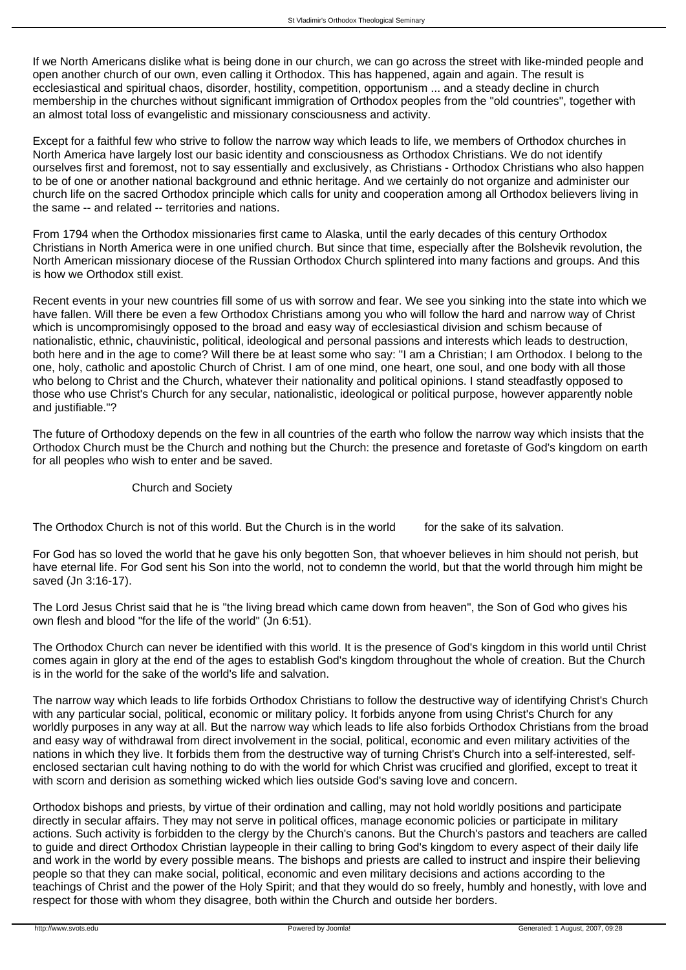If we North Americans dislike what is being done in our church, we can go across the street with like-minded people and open another church of our own, even calling it Orthodox. This has happened, again and again. The result is ecclesiastical and spiritual chaos, disorder, hostility, competition, opportunism ... and a steady decline in church membership in the churches without significant immigration of Orthodox peoples from the "old countries", together with an almost total loss of evangelistic and missionary consciousness and activity.

Except for a faithful few who strive to follow the narrow way which leads to life, we members of Orthodox churches in North America have largely lost our basic identity and consciousness as Orthodox Christians. We do not identify ourselves first and foremost, not to say essentially and exclusively, as Christians - Orthodox Christians who also happen to be of one or another national background and ethnic heritage. And we certainly do not organize and administer our church life on the sacred Orthodox principle which calls for unity and cooperation among all Orthodox believers living in the same -- and related -- territories and nations.

From 1794 when the Orthodox missionaries first came to Alaska, until the early decades of this century Orthodox Christians in North America were in one unified church. But since that time, especially after the Bolshevik revolution, the North American missionary diocese of the Russian Orthodox Church splintered into many factions and groups. And this is how we Orthodox still exist.

Recent events in your new countries fill some of us with sorrow and fear. We see you sinking into the state into which we have fallen. Will there be even a few Orthodox Christians among you who will follow the hard and narrow way of Christ which is uncompromisingly opposed to the broad and easy way of ecclesiastical division and schism because of nationalistic, ethnic, chauvinistic, political, ideological and personal passions and interests which leads to destruction, both here and in the age to come? Will there be at least some who say: "I am a Christian; I am Orthodox. I belong to the one, holy, catholic and apostolic Church of Christ. I am of one mind, one heart, one soul, and one body with all those who belong to Christ and the Church, whatever their nationality and political opinions. I stand steadfastly opposed to those who use Christ's Church for any secular, nationalistic, ideological or political purpose, however apparently noble and justifiable."?

The future of Orthodoxy depends on the few in all countries of the earth who follow the narrow way which insists that the Orthodox Church must be the Church and nothing but the Church: the presence and foretaste of God's kingdom on earth for all peoples who wish to enter and be saved.

#### Church and Society

The Orthodox Church is not of this world. But the Church is in the world for the sake of its salvation.

For God has so loved the world that he gave his only begotten Son, that whoever believes in him should not perish, but have eternal life. For God sent his Son into the world, not to condemn the world, but that the world through him might be saved (Jn 3:16-17).

The Lord Jesus Christ said that he is "the living bread which came down from heaven", the Son of God who gives his own flesh and blood "for the life of the world" (Jn 6:51).

The Orthodox Church can never be identified with this world. It is the presence of God's kingdom in this world until Christ comes again in glory at the end of the ages to establish God's kingdom throughout the whole of creation. But the Church is in the world for the sake of the world's life and salvation.

The narrow way which leads to life forbids Orthodox Christians to follow the destructive way of identifying Christ's Church with any particular social, political, economic or military policy. It forbids anyone from using Christ's Church for any worldly purposes in any way at all. But the narrow way which leads to life also forbids Orthodox Christians from the broad and easy way of withdrawal from direct involvement in the social, political, economic and even military activities of the nations in which they live. It forbids them from the destructive way of turning Christ's Church into a self-interested, selfenclosed sectarian cult having nothing to do with the world for which Christ was crucified and glorified, except to treat it with scorn and derision as something wicked which lies outside God's saving love and concern.

Orthodox bishops and priests, by virtue of their ordination and calling, may not hold worldly positions and participate directly in secular affairs. They may not serve in political offices, manage economic policies or participate in military actions. Such activity is forbidden to the clergy by the Church's canons. But the Church's pastors and teachers are called to guide and direct Orthodox Christian laypeople in their calling to bring God's kingdom to every aspect of their daily life and work in the world by every possible means. The bishops and priests are called to instruct and inspire their believing people so that they can make social, political, economic and even military decisions and actions according to the teachings of Christ and the power of the Holy Spirit; and that they would do so freely, humbly and honestly, with love and respect for those with whom they disagree, both within the Church and outside her borders.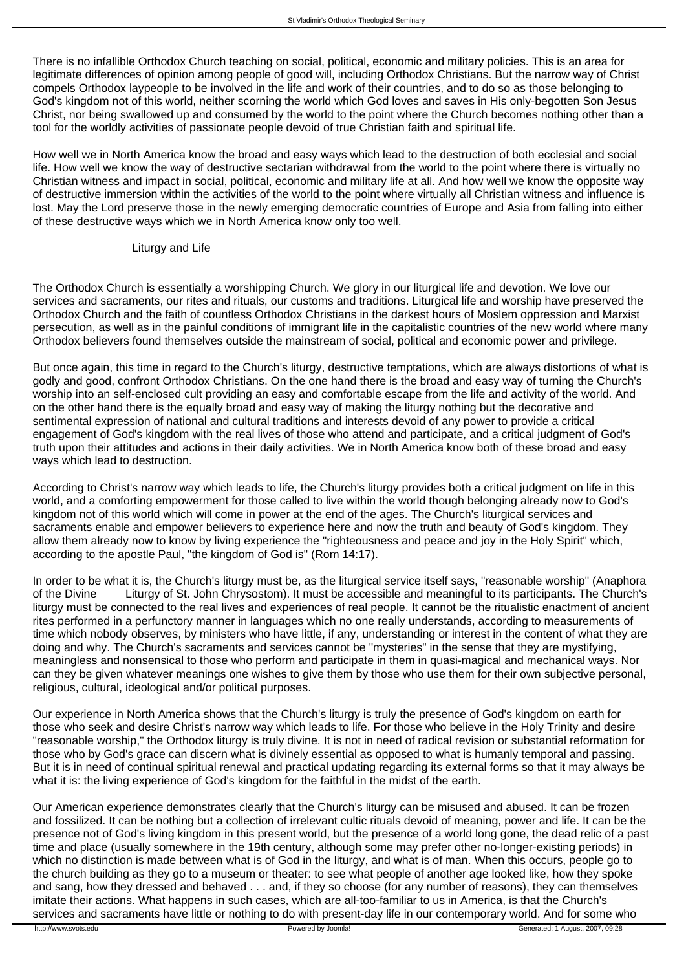There is no infallible Orthodox Church teaching on social, political, economic and military policies. This is an area for legitimate differences of opinion among people of good will, including Orthodox Christians. But the narrow way of Christ compels Orthodox laypeople to be involved in the life and work of their countries, and to do so as those belonging to God's kingdom not of this world, neither scorning the world which God loves and saves in His only-begotten Son Jesus Christ, nor being swallowed up and consumed by the world to the point where the Church becomes nothing other than a tool for the worldly activities of passionate people devoid of true Christian faith and spiritual life.

How well we in North America know the broad and easy ways which lead to the destruction of both ecclesial and social life. How well we know the way of destructive sectarian withdrawal from the world to the point where there is virtually no Christian witness and impact in social, political, economic and military life at all. And how well we know the opposite way of destructive immersion within the activities of the world to the point where virtually all Christian witness and influence is lost. May the Lord preserve those in the newly emerging democratic countries of Europe and Asia from falling into either of these destructive ways which we in North America know only too well.

#### Liturgy and Life

The Orthodox Church is essentially a worshipping Church. We glory in our liturgical life and devotion. We love our services and sacraments, our rites and rituals, our customs and traditions. Liturgical life and worship have preserved the Orthodox Church and the faith of countless Orthodox Christians in the darkest hours of Moslem oppression and Marxist persecution, as well as in the painful conditions of immigrant life in the capitalistic countries of the new world where many Orthodox believers found themselves outside the mainstream of social, political and economic power and privilege.

But once again, this time in regard to the Church's liturgy, destructive temptations, which are always distortions of what is godly and good, confront Orthodox Christians. On the one hand there is the broad and easy way of turning the Church's worship into an self-enclosed cult providing an easy and comfortable escape from the life and activity of the world. And on the other hand there is the equally broad and easy way of making the liturgy nothing but the decorative and sentimental expression of national and cultural traditions and interests devoid of any power to provide a critical engagement of God's kingdom with the real lives of those who attend and participate, and a critical judgment of God's truth upon their attitudes and actions in their daily activities. We in North America know both of these broad and easy ways which lead to destruction.

According to Christ's narrow way which leads to life, the Church's liturgy provides both a critical judgment on life in this world, and a comforting empowerment for those called to live within the world though belonging already now to God's kingdom not of this world which will come in power at the end of the ages. The Church's liturgical services and sacraments enable and empower believers to experience here and now the truth and beauty of God's kingdom. They allow them already now to know by living experience the "righteousness and peace and joy in the Holy Spirit" which, according to the apostle Paul, "the kingdom of God is" (Rom 14:17).

In order to be what it is, the Church's liturgy must be, as the liturgical service itself says, "reasonable worship" (Anaphora of the Divine Liturgy of St. John Chrysostom). It must be accessible and meaningful to its participants. The Church's liturgy must be connected to the real lives and experiences of real people. It cannot be the ritualistic enactment of ancient rites performed in a perfunctory manner in languages which no one really understands, according to measurements of time which nobody observes, by ministers who have little, if any, understanding or interest in the content of what they are doing and why. The Church's sacraments and services cannot be "mysteries" in the sense that they are mystifying, meaningless and nonsensical to those who perform and participate in them in quasi-magical and mechanical ways. Nor can they be given whatever meanings one wishes to give them by those who use them for their own subjective personal, religious, cultural, ideological and/or political purposes.

Our experience in North America shows that the Church's liturgy is truly the presence of God's kingdom on earth for those who seek and desire Christ's narrow way which leads to life. For those who believe in the Holy Trinity and desire "reasonable worship," the Orthodox liturgy is truly divine. It is not in need of radical revision or substantial reformation for those who by God's grace can discern what is divinely essential as opposed to what is humanly temporal and passing. But it is in need of continual spiritual renewal and practical updating regarding its external forms so that it may always be what it is: the living experience of God's kingdom for the faithful in the midst of the earth.

Our American experience demonstrates clearly that the Church's liturgy can be misused and abused. It can be frozen and fossilized. It can be nothing but a collection of irrelevant cultic rituals devoid of meaning, power and life. It can be the presence not of God's living kingdom in this present world, but the presence of a world long gone, the dead relic of a past time and place (usually somewhere in the 19th century, although some may prefer other no-longer-existing periods) in which no distinction is made between what is of God in the liturgy, and what is of man. When this occurs, people go to the church building as they go to a museum or theater: to see what people of another age looked like, how they spoke and sang, how they dressed and behaved . . . and, if they so choose (for any number of reasons), they can themselves imitate their actions. What happens in such cases, which are all-too-familiar to us in America, is that the Church's services and sacraments have little or nothing to do with present-day life in our contemporary world. And for some who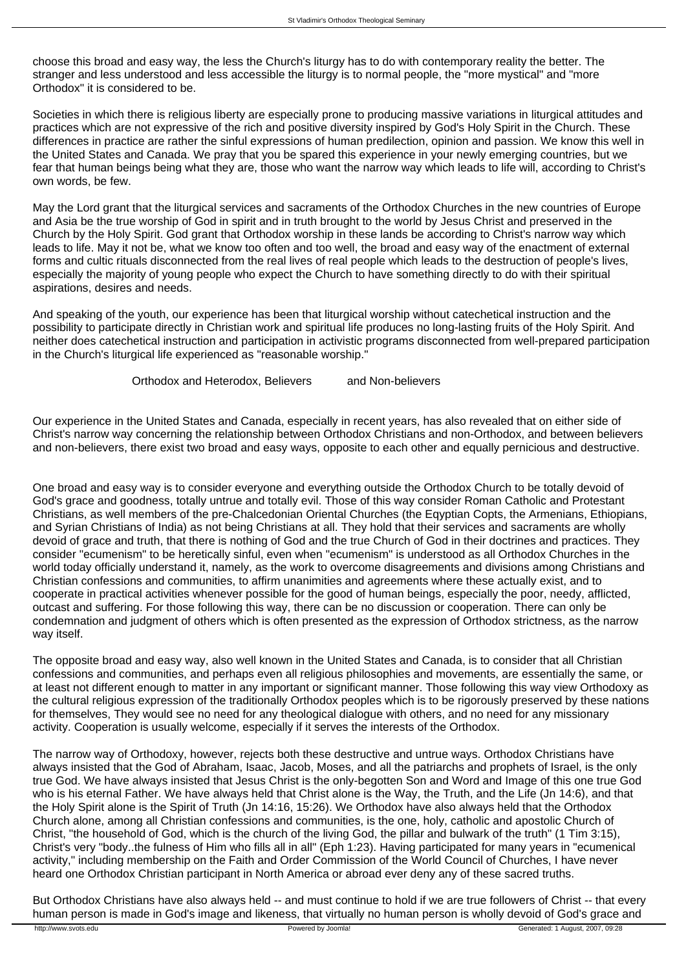choose this broad and easy way, the less the Church's liturgy has to do with contemporary reality the better. The stranger and less understood and less accessible the liturgy is to normal people, the "more mystical" and "more Orthodox" it is considered to be.

Societies in which there is religious liberty are especially prone to producing massive variations in liturgical attitudes and practices which are not expressive of the rich and positive diversity inspired by God's Holy Spirit in the Church. These differences in practice are rather the sinful expressions of human predilection, opinion and passion. We know this well in the United States and Canada. We pray that you be spared this experience in your newly emerging countries, but we fear that human beings being what they are, those who want the narrow way which leads to life will, according to Christ's own words, be few.

May the Lord grant that the liturgical services and sacraments of the Orthodox Churches in the new countries of Europe and Asia be the true worship of God in spirit and in truth brought to the world by Jesus Christ and preserved in the Church by the Holy Spirit. God grant that Orthodox worship in these lands be according to Christ's narrow way which leads to life. May it not be, what we know too often and too well, the broad and easy way of the enactment of external forms and cultic rituals disconnected from the real lives of real people which leads to the destruction of people's lives, especially the majority of young people who expect the Church to have something directly to do with their spiritual aspirations, desires and needs.

And speaking of the youth, our experience has been that liturgical worship without catechetical instruction and the possibility to participate directly in Christian work and spiritual life produces no long-lasting fruits of the Holy Spirit. And neither does catechetical instruction and participation in activistic programs disconnected from well-prepared participation in the Church's liturgical life experienced as "reasonable worship."

Orthodox and Heterodox, Believers and Non-believers

Our experience in the United States and Canada, especially in recent years, has also revealed that on either side of Christ's narrow way concerning the relationship between Orthodox Christians and non-Orthodox, and between believers and non-believers, there exist two broad and easy ways, opposite to each other and equally pernicious and destructive.

One broad and easy way is to consider everyone and everything outside the Orthodox Church to be totally devoid of God's grace and goodness, totally untrue and totally evil. Those of this way consider Roman Catholic and Protestant Christians, as well members of the pre-Chalcedonian Oriental Churches (the Eqyptian Copts, the Armenians, Ethiopians, and Syrian Christians of India) as not being Christians at all. They hold that their services and sacraments are wholly devoid of grace and truth, that there is nothing of God and the true Church of God in their doctrines and practices. They consider "ecumenism" to be heretically sinful, even when "ecumenism" is understood as all Orthodox Churches in the world today officially understand it, namely, as the work to overcome disagreements and divisions among Christians and Christian confessions and communities, to affirm unanimities and agreements where these actually exist, and to cooperate in practical activities whenever possible for the good of human beings, especially the poor, needy, afflicted, outcast and suffering. For those following this way, there can be no discussion or cooperation. There can only be condemnation and judgment of others which is often presented as the expression of Orthodox strictness, as the narrow way itself.

The opposite broad and easy way, also well known in the United States and Canada, is to consider that all Christian confessions and communities, and perhaps even all religious philosophies and movements, are essentially the same, or at least not different enough to matter in any important or significant manner. Those following this way view Orthodoxy as the cultural religious expression of the traditionally Orthodox peoples which is to be rigorously preserved by these nations for themselves, They would see no need for any theological dialogue with others, and no need for any missionary activity. Cooperation is usually welcome, especially if it serves the interests of the Orthodox.

The narrow way of Orthodoxy, however, rejects both these destructive and untrue ways. Orthodox Christians have always insisted that the God of Abraham, Isaac, Jacob, Moses, and all the patriarchs and prophets of Israel, is the only true God. We have always insisted that Jesus Christ is the only-begotten Son and Word and Image of this one true God who is his eternal Father. We have always held that Christ alone is the Way, the Truth, and the Life (Jn 14:6), and that the Holy Spirit alone is the Spirit of Truth (Jn 14:16, 15:26). We Orthodox have also always held that the Orthodox Church alone, among all Christian confessions and communities, is the one, holy, catholic and apostolic Church of Christ, "the household of God, which is the church of the living God, the pillar and bulwark of the truth" (1 Tim 3:15), Christ's very "body..the fulness of Him who fills all in all" (Eph 1:23). Having participated for many years in "ecumenical activity," including membership on the Faith and Order Commission of the World Council of Churches, I have never heard one Orthodox Christian participant in North America or abroad ever deny any of these sacred truths.

But Orthodox Christians have also always held -- and must continue to hold if we are true followers of Christ -- that every human person is made in God's image and likeness, that virtually no human person is wholly devoid of God's grace and